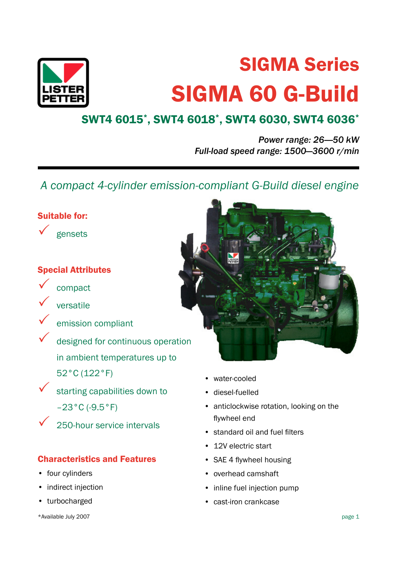

# SIGMA Series SIGMA 60 G-Build

## SWT4 6015\* , SWT4 6018\* , SWT4 6030, SWT4 6036\*

*Power range: 26-—50 kW Full-load speed range: 1500—3600 r/min*

 *A compact 4-cylinder emission-compliant G-Build diesel engine*

## Suitable for:



gensets

## Special Attributes



compact versatile

emission compliant

designed for continuous operation in ambient temperatures up to 52°C (122°F)

 $\checkmark$  starting capabilities down to  $-23$ °C (-9.5°F)

250-hour service intervals

## Characteristics and Features

- four cylinders
- indirect injection
- turbocharged



- water-cooled
- diesel-fuelled
- anticlockwise rotation, looking on the flywheel end
- standard oil and fuel filters
- 12V electric start
- SAE 4 flywheel housing
- overhead camshaft
- inline fuel injection pump
- cast-iron crankcase

\*Available July 2007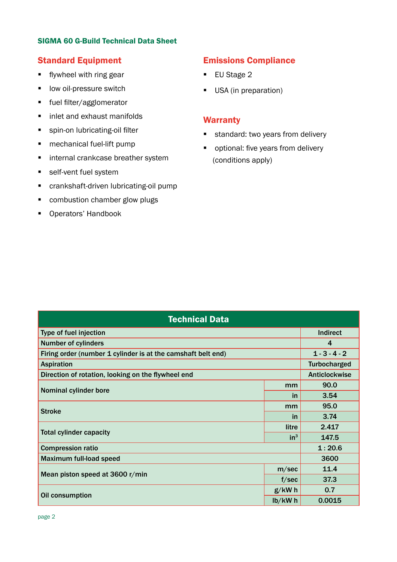#### SIGMA 60 G-Build Technical Data Sheet

#### Standard Equipment

- **■** flywheel with ring gear
- low oil-pressure switch
- fuel filter/agglomerator
- inlet and exhaust manifolds
- **•** spin-on lubricating-oil filter
- mechanical fuel-lift pump
- internal crankcase breather system
- self-vent fuel system
- crankshaft-driven lubricating-oil pump
- combustion chamber glow plugs
- Operators' Handbook

## Emissions Compliance

- EU Stage 2
- USA (in preparation)

#### Warranty

- standard: two years from delivery
- optional: five years from delivery (conditions apply)

| <b>Technical Data</b>                                        |                      |                     |  |  |  |
|--------------------------------------------------------------|----------------------|---------------------|--|--|--|
| Type of fuel injection                                       | <b>Indirect</b>      |                     |  |  |  |
| <b>Number of cylinders</b>                                   | 4                    |                     |  |  |  |
| Firing order (number 1 cylinder is at the camshaft belt end) |                      | $1 - 3 - 4 - 2$     |  |  |  |
| <b>Aspiration</b>                                            |                      | <b>Turbocharged</b> |  |  |  |
| Direction of rotation, looking on the flywheel end           | <b>Anticlockwise</b> |                     |  |  |  |
|                                                              | mm                   | 90.0                |  |  |  |
| Nominal cylinder bore                                        | in                   | 3.54                |  |  |  |
| <b>Stroke</b>                                                | mm                   | 95.0                |  |  |  |
|                                                              | in                   | 3.74                |  |  |  |
| <b>Total cylinder capacity</b>                               | litre                | 2.417               |  |  |  |
|                                                              | in <sup>3</sup>      | 147.5               |  |  |  |
| <b>Compression ratio</b>                                     | 1:20.6               |                     |  |  |  |
| <b>Maximum full-load speed</b>                               | 3600                 |                     |  |  |  |
| Mean piston speed at 3600 r/min                              | m/sec                | 11.4                |  |  |  |
|                                                              | f/sec                | 37.3                |  |  |  |
| Oil consumption                                              | $g/kW$ h             | 0.7                 |  |  |  |
|                                                              | $lb/kW$ h            | 0.0015              |  |  |  |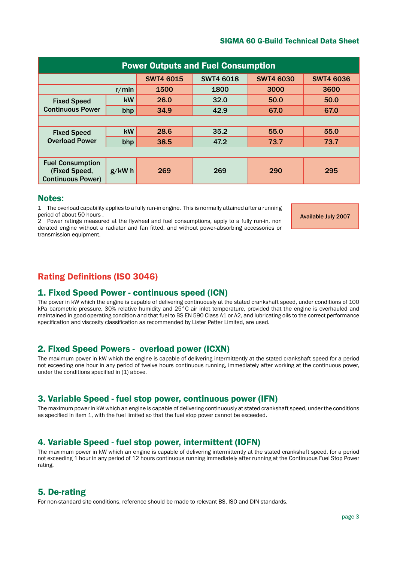#### SIGMA 60 G-Build Technical Data Sheet

| <b>Power Outputs and Fuel Consumption</b>                            |           |                  |                  |                  |                  |  |
|----------------------------------------------------------------------|-----------|------------------|------------------|------------------|------------------|--|
|                                                                      |           | <b>SWT4 6015</b> | <b>SWT4 6018</b> | <b>SWT4 6030</b> | <b>SWT4 6036</b> |  |
| r/min                                                                |           | 1500             | 1800             | 3000             | 3600             |  |
| <b>Fixed Speed</b><br><b>Continuous Power</b>                        | <b>kW</b> | 26.0             | 32.0             | 50.0             | 50.0             |  |
|                                                                      | bhp       | 34.9             | 42.9             | 67.0             | 67.0             |  |
|                                                                      |           |                  |                  |                  |                  |  |
| <b>Fixed Speed</b><br><b>Overload Power</b>                          | kW        | 28.6             | 35.2             | 55.0             | 55.0             |  |
|                                                                      | bhp       | 38.5             | 47.2             | 73.7             | 73.7             |  |
|                                                                      |           |                  |                  |                  |                  |  |
| <b>Fuel Consumption</b><br>(Fixed Speed,<br><b>Continuous Power)</b> | $g/kW$ h  | 269              | 269              | 290              | 295              |  |

#### Notes:

1 The overload capability applies to a fully run-in engine. This is normally attained after a running period of about 50 hours .

2 Power ratings measured at the flywheel and fuel consumptions, apply to a fully run-in, non derated engine without a radiator and fan fitted, and without power-absorbing accessories or transmission equipment.

Available July 2007

## Rating Definitions (ISO 3046)

#### 1. Fixed Speed Power - continuous speed (ICN)

The power in kW which the engine is capable of delivering continuously at the stated crankshaft speed, under conditions of 100 kPa barometric pressure, 30% relative humidity and 25°C air inlet temperature, provided that the engine is overhauled and maintained in good operating condition and that fuel to BS EN 590 Class A1 or A2, and lubricating oils to the correct performance specification and viscosity classification as recommended by Lister Petter Limited, are used.

#### 2. Fixed Speed Powers - overload power (ICXN)

The maximum power in kW which the engine is capable of delivering intermittently at the stated crankshaft speed for a period not exceeding one hour in any period of twelve hours continuous running, immediately after working at the continuous power, under the conditions specified in (1) above.

#### 3. Variable Speed - fuel stop power, continuous power (IFN)

The maximum power in kW which an engine is capable of delivering continuously at stated crankshaft speed, under the conditions as specified in item 1, with the fuel limited so that the fuel stop power cannot be exceeded.

#### 4. Variable Speed - fuel stop power, intermittent (IOFN)

The maximum power in kW which an engine is capable of delivering intermittently at the stated crankshaft speed, for a period not exceeding 1 hour in any period of 12 hours continuous running immediately after running at the Continuous Fuel Stop Power rating.

#### 5. De-rating

For non-standard site conditions, reference should be made to relevant BS, ISO and DIN standards.